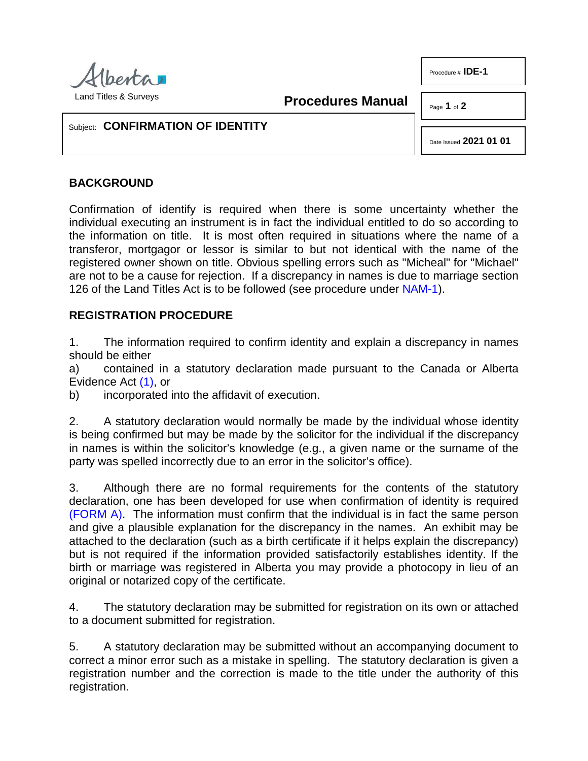

**Procedures Manual**

Procedure # **IDE-1**

Page **1** of **2**

## Subject: **CONFIRMATION OF IDENTITY**

Date Issued **2021 01 01**

## **BACKGROUND**

Confirmation of identify is required when there is some uncertainty whether the individual executing an instrument is in fact the individual entitled to do so according to the information on title. It is most often required in situations where the name of a transferor, mortgagor or lessor is similar to but not identical with the name of the registered owner shown on title. Obvious spelling errors such as "Micheal" for "Michael" are not to be a cause for rejection. If a discrepancy in names is due to marriage section 126 of the Land Titles Act is to be followed (see procedure under [NAM-1\)](http://www.servicealberta.ca/pdf/ltmanual/NAM-1.pdf).

## **REGISTRATION PROCEDURE**

1. The information required to confirm identity and explain a discrepancy in names should be either

<span id="page-0-0"></span>a) contained in a statutory declaration made pursuant to the Canada or Alberta Evidence Act [\(1\),](#page-1-0) or

b) incorporated into the affidavit of execution.

2. A statutory declaration would normally be made by the individual whose identity is being confirmed but may be made by the solicitor for the individual if the discrepancy in names is within the solicitor's knowledge (e.g., a given name or the surname of the party was spelled incorrectly due to an error in the solicitor's office).

3. Although there are no formal requirements for the contents of the statutory declaration, one has been developed for use when confirmation of identity is required [\(FORM A\).](http://www.servicealberta.ca/pdf/ltmanual/IDE-1-FORMA.pdf) The information must confirm that the individual is in fact the same person and give a plausible explanation for the discrepancy in the names. An exhibit may be attached to the declaration (such as a birth certificate if it helps explain the discrepancy) but is not required if the information provided satisfactorily establishes identity. If the birth or marriage was registered in Alberta you may provide a photocopy in lieu of an original or notarized copy of the certificate.

4. The statutory declaration may be submitted for registration on its own or attached to a document submitted for registration.

5. A statutory declaration may be submitted without an accompanying document to correct a minor error such as a mistake in spelling. The statutory declaration is given a registration number and the correction is made to the title under the authority of this registration.